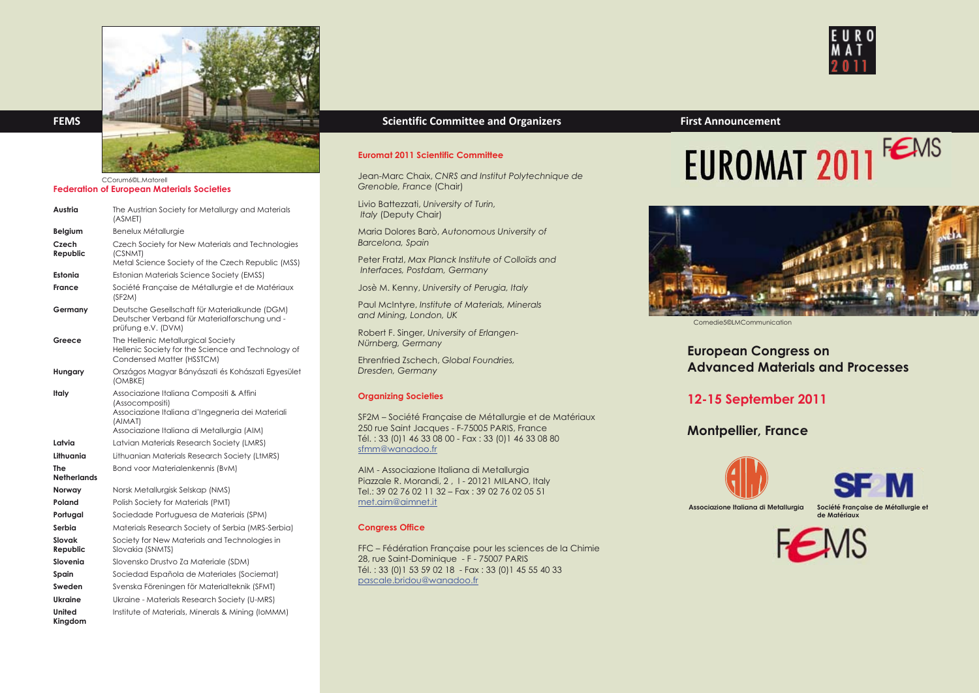

CCorum6©L.Matorell

## **Federation of European Materials Societies**

| Austria                   | The Austrian Society for Metallurgy and Materials<br>(ASMET)                                                                                                             |
|---------------------------|--------------------------------------------------------------------------------------------------------------------------------------------------------------------------|
| Belgium                   | Benelux Métallurgie                                                                                                                                                      |
| Czech<br>Republic         | Czech Society for New Materials and Technologies<br>(CSNMT)<br>Metal Science Society of the Czech Republic (MSS)                                                         |
| Estonia                   | Estonian Materials Science Society (EMSS)                                                                                                                                |
| France                    | Société Française de Métallurgie et de Matériaux<br>(SF2M)                                                                                                               |
| Germany                   | Deutsche Gesellschaft für Materialkunde (DGM)<br>Deutscher Verband für Materialforschung und -<br>prüfung e.V. (DVM)                                                     |
| Greece                    | The Hellenic Metallurgical Society<br>Hellenic Society for the Science and Technology of<br>Condensed Matter (HSSTCM)                                                    |
| Hungary                   | Országos Magyar Bányászati és Kohászati Egyesület<br>(OMBKE)                                                                                                             |
| Italy                     | Associazione Italiana Compositi & Affini<br>(Assocompositi)<br>Associazione Italiana d'Ingegneria dei Materiali<br>(AIMAT)<br>Associazione Italiana di Metallurgia (AIM) |
| Latvia                    | Latvian Materials Research Society (LMRS)                                                                                                                                |
| Lithuania                 | Lithuanian Materials Research Society (LtMRS)                                                                                                                            |
| The<br><b>Netherlands</b> | Bond voor Materialenkennis (BvM)                                                                                                                                         |
| Norway                    | Norsk Metallurgisk Selskap (NMS)                                                                                                                                         |
| Poland                    | Polish Society for Materials (PMT)                                                                                                                                       |
| Portugal                  | Sociedade Portuguesa de Materiais (SPM)                                                                                                                                  |
| Serbia                    | Materials Research Society of Serbia (MRS-Serbia)                                                                                                                        |
| Slovak<br>Republic        | Society for New Materials and Technologies in<br>Slovakia (SNMTS)                                                                                                        |
| Slovenia                  | Slovensko Drustvo Za Materiale (SDM)                                                                                                                                     |
| Spain                     | Sociedad Española de Materiales (Sociemat)                                                                                                                               |
| Sweden                    | Svenska Föreningen för Materialteknik (SFMT)                                                                                                                             |
| <b>Ukraine</b>            | Ukraine - Materials Research Society (U-MRS)                                                                                                                             |
| United                    | Institute of Materials, Minerals & Mining (IOMMM)                                                                                                                        |

## **Euromat 2011 Scientific Committee**

Jean-Marc Chaix, *CNRS and Institut Polytechnique de Grenoble, France* (Chair)

Livio Battezzati, *University of Turin, Italy* (Deputy Chair)

Maria Dolores Barò, *Autonomous University of Barcelona, Spain*

Peter Fratzl, *Max Planck Institute of Colloïds and Interfaces, Postdam, Germany*

Josè M. Kenny, *University of Perugia, Italy*

Paul McIntyre, *Institute of Materials, Minerals and Mining, London, UK*

Robert F. Singer, *University of Erlangen-Nürnberg, Germany*

Ehrenfried Zschech, *Global Foundries, Dresden, Germany*

## **Organizing Societies**

SF2M – Société Française de Métallurgie et de Matériaux 250 rue Saint Jacques - F-75005 PARIS, France Tél. : 33 (0)1 46 33 08 00 - Fax : 33 (0)1 46 33 08 80 sfmm@wanadoo.fr

AIM - Associazione Italiana di Metallurgia Piazzale R. Morandi, 2 , I - 20121 MILANO, Italy Tel.: 39 02 76 02 11 32 – Fax : 39 02 76 02 05 51 met.aim@aimnet.it

## **Congress Office**

FFC – Fédération Française pour les sciences de la Chimie 28, rue Saint-Dominique - F - 75007 PARIS Tél. : 33 (0)1 53 59 02 18 - Fax : 33 (0)1 45 55 40 33 pascale.bridou@wanadoo.fr

# EUROMAT 2011<sup>FEMS</sup>



Comedie5©LMCommunication

# **European Congress on Advanced Materials and Processes**

# **12-15 September 2011**

# **Montpellier, France**





 **Associazione Italiana di Metallu Société Française de Métallurgie et**  Associazione Italiana di Metallurgia

**de Matériaux**





**Kingdom**